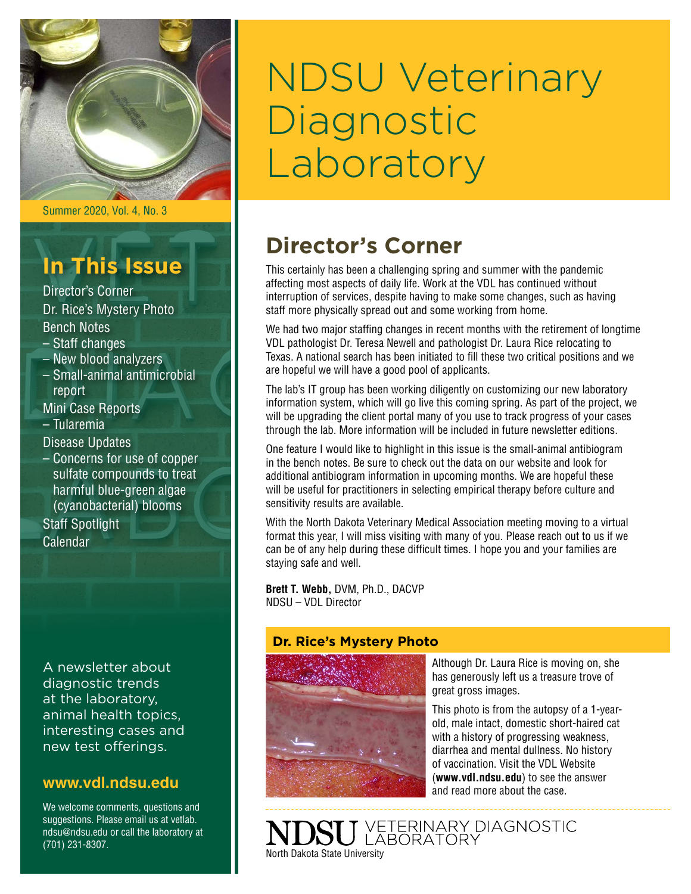

Summer 2020, Vol. 4, No. 3

# **In This Issue**

Director's Corner Dr. Rice's Mystery Photo Bench Notes

- Staff changes
- New blood analyzers
- Small-animal antimicrobial report
- Mini Case Reports – Tularemia

Disease Updates

– Concerns for use of copper sulfate compounds to treat harmful blue-green algae (cyanobacterial) blooms

Staff Spotlight Calendar

A newsletter about diagnostic trends at the laboratory, animal health topics, interesting cases and new test offerings.

### **[www.vdl.ndsu.edu](file:///C:\Users\david.haasser\AppData\Local\Microsoft\Windows\Temporary%20Internet%20Files\Content.Outlook\2SAH4N2J\www.ag.ndsu.edu\ansc\)**

We welcome comments, questions and suggestions. Please email us at vetlab. ndsu@ndsu.edu or call the laboratory at (701) 231-8307.

# NDSU Veterinary **Diagnostic** Laboratory

## **Director's Corner**

This certainly has been a challenging spring and summer with the pandemic affecting most aspects of daily life. Work at the VDL has continued without interruption of services, despite having to make some changes, such as having staff more physically spread out and some working from home.

We had two major staffing changes in recent months with the retirement of longtime VDL pathologist Dr. Teresa Newell and pathologist Dr. Laura Rice relocating to Texas. A national search has been initiated to fill these two critical positions and we are hopeful we will have a good pool of applicants.

The lab's IT group has been working diligently on customizing our new laboratory information system, which will go live this coming spring. As part of the project, we will be upgrading the client portal many of you use to track progress of your cases through the lab. More information will be included in future newsletter editions.

One feature I would like to highlight in this issue is the small-animal antibiogram in the bench notes. Be sure to check out the data on our website and look for additional antibiogram information in upcoming months. We are hopeful these will be useful for practitioners in selecting empirical therapy before culture and sensitivity results are available.

With the North Dakota Veterinary Medical Association meeting moving to a virtual format this year, I will miss visiting with many of you. Please reach out to us if we can be of any help during these difficult times. I hope you and your families are staying safe and well.

**Brett T. Webb,** DVM, Ph.D., DACVP NDSU – VDL Director

### **Dr. Rice's Mystery Photo**



Although Dr. Laura Rice is moving on, she has generously left us a treasure trove of great gross images.

This photo is from the autopsy of a 1-yearold, male intact, domestic short-haired cat with a history of progressing weakness, diarrhea and mental dullness. No history of vaccination. Visit the VDL Website (**[www.vdl.ndsu.edu](http://www.vdl.ndsu.edu)**) to see the answer and read more about the case.

VETERINARY DIAGNOSTIC<br>LABORATORY North Dakota State University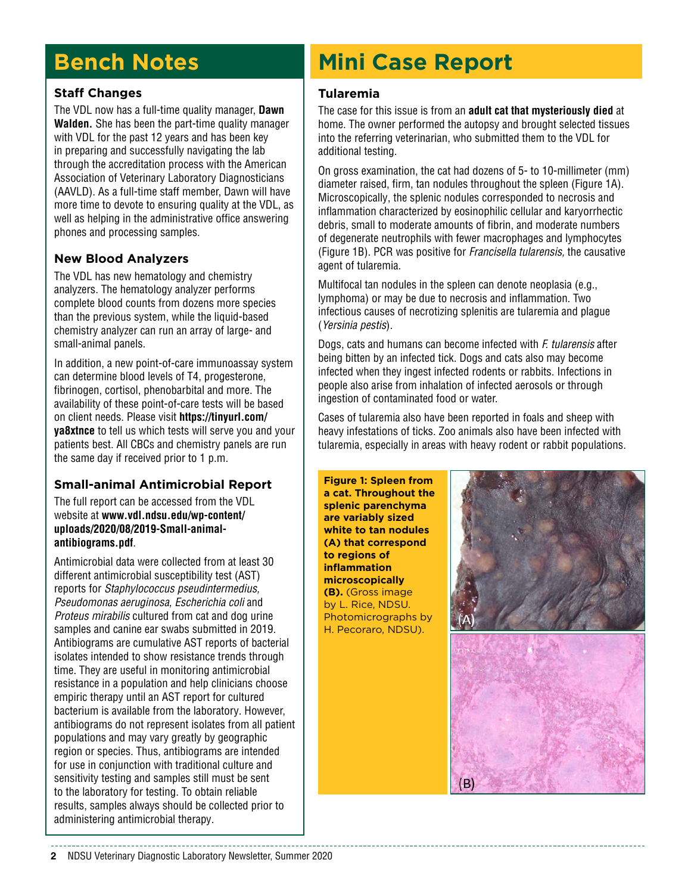# **Bench Notes**

### **Staff Changes**

The VDL now has a full-time quality manager, **Dawn Walden.** She has been the part-time quality manager with VDL for the past 12 years and has been key in preparing and successfully navigating the lab through the accreditation process with the American Association of Veterinary Laboratory Diagnosticians (AAVLD). As a full-time staff member, Dawn will have more time to devote to ensuring quality at the VDL, as well as helping in the administrative office answering phones and processing samples.

### **New Blood Analyzers**

The VDL has new hematology and chemistry analyzers. The hematology analyzer performs complete blood counts from dozens more species than the previous system, while the liquid-based chemistry analyzer can run an array of large- and small-animal panels.

In addition, a new point-of-care immunoassay system can determine blood levels of T4, progesterone, fibrinogen, cortisol, phenobarbital and more. The availability of these point-of-care tests will be based on client needs. Please visit **[https://tinyurl.com/](https://tinyurl.com/ya8xtnce) [ya8xtnce](https://tinyurl.com/ya8xtnce)** to tell us which tests will serve you and your patients best. All CBCs and chemistry panels are run the same day if received prior to 1 p.m.

### **Small-animal Antimicrobial Report**

The full report can be accessed from the VDL website at **www.vdl.ndsu.edu/wp-content/ [uploads/2020/08/2019-Small-animal](http://www.vdl.ndsu.edu/wp-content/uploads/2020/08/2019-Small-animal-antibiograms.pdf)antibiograms.pdf**.

Antimicrobial data were collected from at least 30 different antimicrobial susceptibility test (AST) reports for *Staphylococcus pseudintermedius, Pseudomonas aeruginosa, Escherichia coli* and *Proteus mirabilis* cultured from cat and dog urine samples and canine ear swabs submitted in 2019. Antibiograms are cumulative AST reports of bacterial isolates intended to show resistance trends through time. They are useful in monitoring antimicrobial resistance in a population and help clinicians choose empiric therapy until an AST report for cultured bacterium is available from the laboratory. However, antibiograms do not represent isolates from all patient populations and may vary greatly by geographic region or species. Thus, antibiograms are intended for use in conjunction with traditional culture and sensitivity testing and samples still must be sent to the laboratory for testing. To obtain reliable results, samples always should be collected prior to administering antimicrobial therapy.

# **Mini Case Report**

### **Tularemia**

The case for this issue is from an **adult cat that mysteriously died** at home. The owner performed the autopsy and brought selected tissues into the referring veterinarian, who submitted them to the VDL for additional testing.

On gross examination, the cat had dozens of 5- to 10-millimeter (mm) diameter raised, firm, tan nodules throughout the spleen (Figure 1A). Microscopically, the splenic nodules corresponded to necrosis and inflammation characterized by eosinophilic cellular and karyorrhectic debris, small to moderate amounts of fibrin, and moderate numbers of degenerate neutrophils with fewer macrophages and lymphocytes (Figure 1B). PCR was positive for *Francisella tularensis,* the causative agent of tularemia.

Multifocal tan nodules in the spleen can denote neoplasia (e.g., lymphoma) or may be due to necrosis and inflammation. Two infectious causes of necrotizing splenitis are tularemia and plague (*Yersinia pestis*).

Dogs, cats and humans can become infected with *F. tularensis* after being bitten by an infected tick. Dogs and cats also may become infected when they ingest infected rodents or rabbits. Infections in people also arise from inhalation of infected aerosols or through ingestion of contaminated food or water.

Cases of tularemia also have been reported in foals and sheep with heavy infestations of ticks. Zoo animals also have been infected with tularemia, especially in areas with heavy rodent or rabbit populations.

**Figure 1: Spleen from a cat. Throughout the splenic parenchyma are variably sized white to tan nodules (A) that correspond to regions of inflammation microscopically (B).** (Gross image by L. Rice, NDSU. Photomicrographs by H. Pecoraro, NDSU).

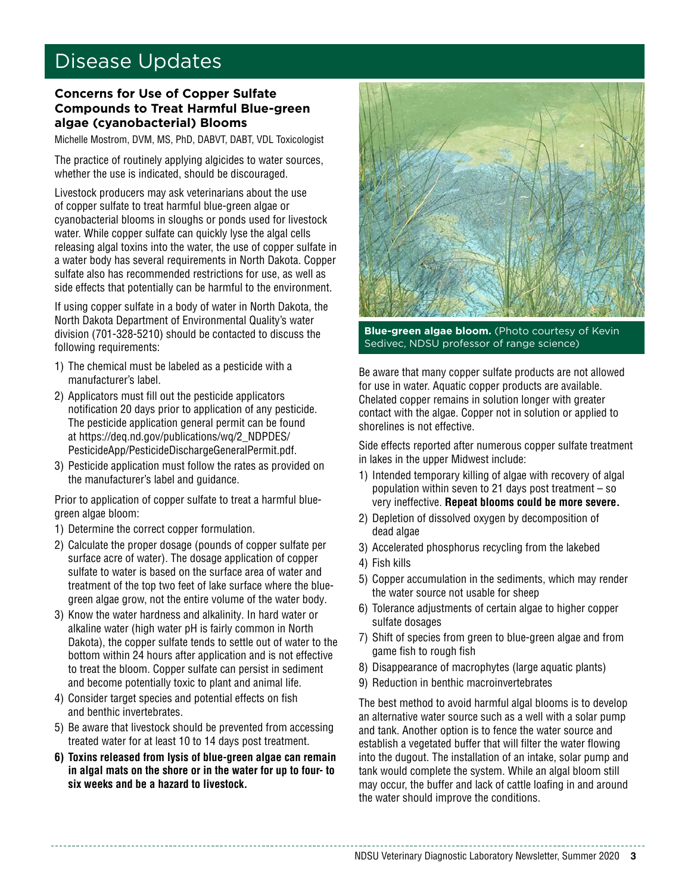### Disease Updates

#### **Concerns for Use of Copper Sulfate Compounds to Treat Harmful Blue-green algae (cyanobacterial) Blooms**

Michelle Mostrom, DVM, MS, PhD, DABVT, DABT, VDL Toxicologist

The practice of routinely applying algicides to water sources, whether the use is indicated, should be discouraged.

Livestock producers may ask veterinarians about the use of copper sulfate to treat harmful blue-green algae or cyanobacterial blooms in sloughs or ponds used for livestock water. While copper sulfate can quickly lyse the algal cells releasing algal toxins into the water, the use of copper sulfate in a water body has several requirements in North Dakota. Copper sulfate also has recommended restrictions for use, as well as side effects that potentially can be harmful to the environment.

If using copper sulfate in a body of water in North Dakota, the North Dakota Department of Environmental Quality's water division (701-328-5210) should be contacted to discuss the following requirements:

- 1) The chemical must be labeled as a pesticide with a manufacturer's label.
- 2) Applicators must fill out the pesticide applicators notification 20 days prior to application of any pesticide. The pesticide application general permit can be found at [https://deq.nd.gov/publications/wq/2\\_NDPDES/](https://deq.nd.gov/publications/wq/2_NDPDES/PesticideApp/PesticideDischargeGeneralPermit.pdf) [PesticideApp/PesticideDischargeGeneralPermit.pdf.](https://deq.nd.gov/publications/wq/2_NDPDES/PesticideApp/PesticideDischargeGeneralPermit.pdf)
- 3) Pesticide application must follow the rates as provided on the manufacturer's label and guidance.

Prior to application of copper sulfate to treat a harmful bluegreen algae bloom:

- 1) Determine the correct copper formulation.
- 2) Calculate the proper dosage (pounds of copper sulfate per surface acre of water). The dosage application of copper sulfate to water is based on the surface area of water and treatment of the top two feet of lake surface where the bluegreen algae grow, not the entire volume of the water body.
- 3) Know the water hardness and alkalinity. In hard water or alkaline water (high water pH is fairly common in North Dakota), the copper sulfate tends to settle out of water to the bottom within 24 hours after application and is not effective to treat the bloom. Copper sulfate can persist in sediment and become potentially toxic to plant and animal life.
- 4) Consider target species and potential effects on fish and benthic invertebrates.
- 5) Be aware that livestock should be prevented from accessing treated water for at least 10 to 14 days post treatment.
- **6) Toxins released from lysis of blue-green algae can remain in algal mats on the shore or in the water for up to four- to six weeks and be a hazard to livestock.**



**Blue-green algae bloom.** (Photo courtesy of Kevin Sedivec, NDSU professor of range science)

Be aware that many copper sulfate products are not allowed for use in water. Aquatic copper products are available. Chelated copper remains in solution longer with greater contact with the algae. Copper not in solution or applied to shorelines is not effective.

Side effects reported after numerous copper sulfate treatment in lakes in the upper Midwest include:

- 1) Intended temporary killing of algae with recovery of algal population within seven to 21 days post treatment – so very ineffective. **Repeat blooms could be more severe.**
- 2) Depletion of dissolved oxygen by decomposition of dead algae
- 3) Accelerated phosphorus recycling from the lakebed
- 4) Fish kills
- 5) Copper accumulation in the sediments, which may render the water source not usable for sheep
- 6) Tolerance adjustments of certain algae to higher copper sulfate dosages
- 7) Shift of species from green to blue-green algae and from game fish to rough fish
- 8) Disappearance of macrophytes (large aquatic plants)
- 9) Reduction in benthic macroinvertebrates

The best method to avoid harmful algal blooms is to develop an alternative water source such as a well with a solar pump and tank. Another option is to fence the water source and establish a vegetated buffer that will filter the water flowing into the dugout. The installation of an intake, solar pump and tank would complete the system. While an algal bloom still may occur, the buffer and lack of cattle loafing in and around the water should improve the conditions.